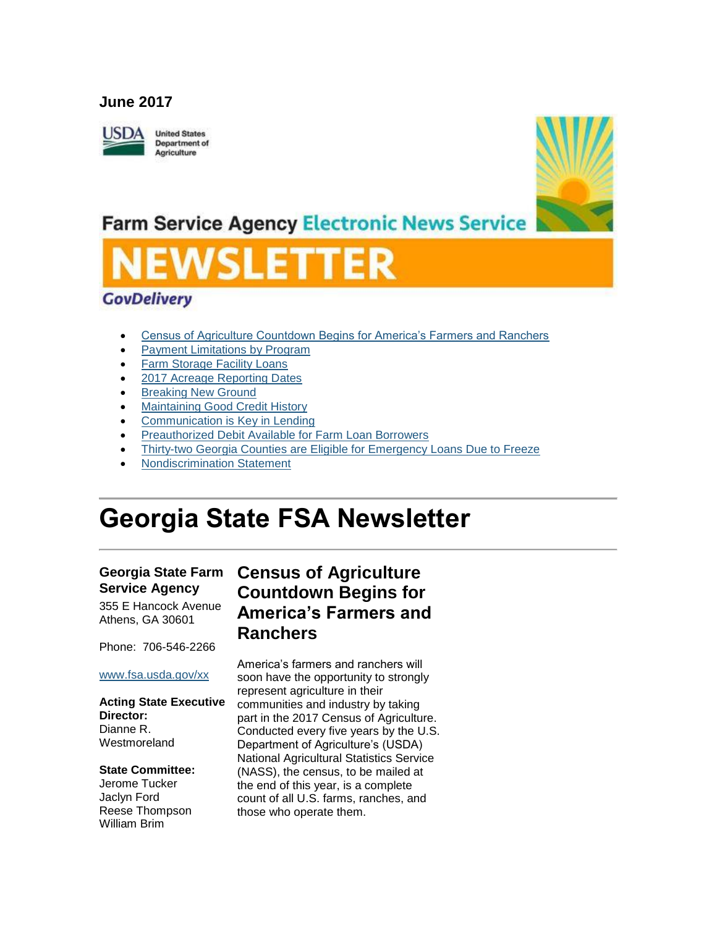### **June 2017**



**United States Department of** Agriculture



## **Farm Service Agency Electronic News Service**

### **GovDelivery**

- [Census of Agriculture Countdown Begins for America's Farmers and Ranchers](#page-0-0)
- [Payment Limitations by Program](#page-1-0)
- [Farm Storage Facility Loans](#page-2-0)
- [2017 Acreage Reporting Dates](#page-3-0)
- [Breaking New Ground](#page-3-1)
- [Maintaining Good Credit History](#page-4-0)
- [Communication is Key in Lending](#page-4-1)
- [Preauthorized Debit Available for Farm Loan Borrowers](#page-5-0)
- [Thirty-two Georgia Counties are Eligible for Emergency Loans Due to Freeze](#page-5-1)
- [Nondiscrimination Statement](#page-6-0)

# **Georgia State FSA Newsletter**

### **Georgia State Farm Service Agency**

355 E Hancock Avenue Athens, GA 30601

Phone: 706-546-2266

#### [www.fsa.usda.gov/xx](http://www.fsa.usda.gov/xx)

#### **Acting State Executive Director:** Dianne R. Westmoreland

#### **State Committee:**

Jerome Tucker Jaclyn Ford Reese Thompson William Brim

### <span id="page-0-0"></span>**Census of Agriculture Countdown Begins for America's Farmers and Ranchers**

America's farmers and ranchers will soon have the opportunity to strongly represent agriculture in their communities and industry by taking part in the 2017 Census of Agriculture. Conducted every five years by the U.S. Department of Agriculture's (USDA) National Agricultural Statistics Service (NASS), the census, to be mailed at the end of this year, is a complete count of all U.S. farms, ranches, and those who operate them.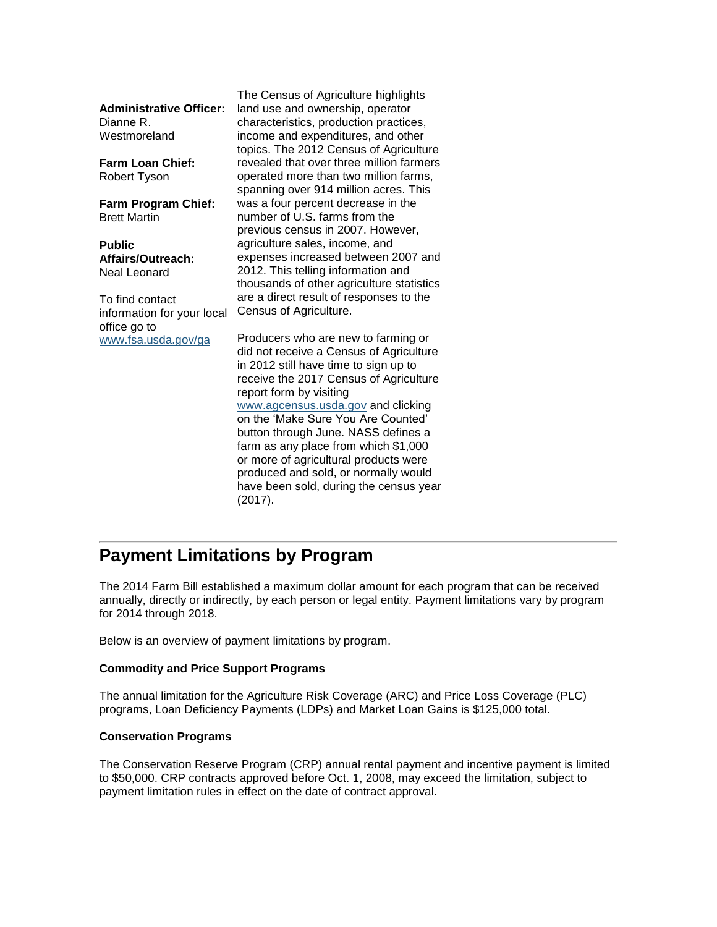|                                | The Census of Agriculture highlights      |
|--------------------------------|-------------------------------------------|
| <b>Administrative Officer:</b> | land use and ownership, operator          |
| Dianne R.                      | characteristics, production practices,    |
| Westmoreland                   | income and expenditures, and other        |
|                                | topics. The 2012 Census of Agriculture    |
| <b>Farm Loan Chief:</b>        | revealed that over three million farmers  |
| Robert Tyson                   | operated more than two million farms,     |
|                                | spanning over 914 million acres. This     |
| <b>Farm Program Chief:</b>     | was a four percent decrease in the        |
| <b>Brett Martin</b>            | number of U.S. farms from the             |
|                                | previous census in 2007. However,         |
| <b>Public</b>                  | agriculture sales, income, and            |
| Affairs/Outreach:              | expenses increased between 2007 and       |
| Neal Leonard                   | 2012. This telling information and        |
|                                | thousands of other agriculture statistics |
| To find contact                | are a direct result of responses to the   |
| information for your local     | Census of Agriculture.                    |
| office go to                   |                                           |
| www.fsa.usda.gov/ga            | Producers who are new to farming or       |
|                                | did not receive a Census of Agriculture   |
|                                | in 2012 still have time to sign up to     |
|                                | receive the 2017 Census of Agriculture    |
|                                | report form by visiting                   |
|                                | www.agcensus.usda.gov and clicking        |
|                                | on the 'Make Sure You Are Counted'        |
|                                | button through June. NASS defines a       |
|                                | farm as any place from which \$1,000      |
|                                | or more of agricultural products were     |
|                                | produced and sold, or normally would      |
|                                | have been sold, during the census year    |
|                                | (2017).                                   |
|                                |                                           |

### <span id="page-1-0"></span>**Payment Limitations by Program**

The 2014 Farm Bill established a maximum dollar amount for each program that can be received annually, directly or indirectly, by each person or legal entity. Payment limitations vary by program for 2014 through 2018.

Below is an overview of payment limitations by program.

#### **Commodity and Price Support Programs**

The annual limitation for the Agriculture Risk Coverage (ARC) and Price Loss Coverage (PLC) programs, Loan Deficiency Payments (LDPs) and Market Loan Gains is \$125,000 total.

#### **Conservation Programs**

The Conservation Reserve Program (CRP) annual rental payment and incentive payment is limited to \$50,000. CRP contracts approved before Oct. 1, 2008, may exceed the limitation, subject to payment limitation rules in effect on the date of contract approval.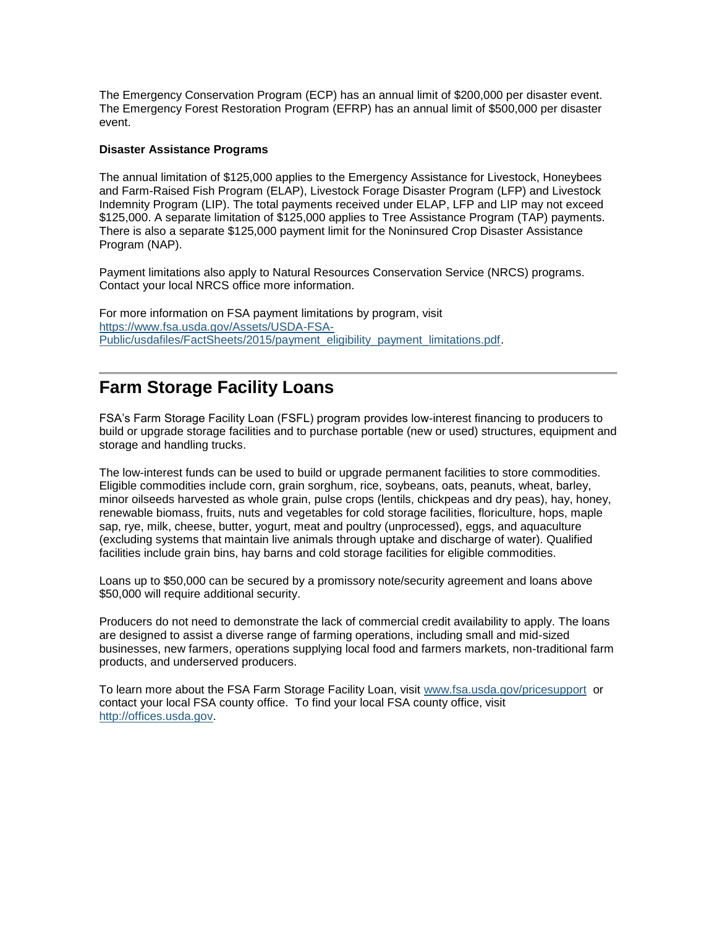The Emergency Conservation Program (ECP) has an annual limit of \$200,000 per disaster event. The Emergency Forest Restoration Program (EFRP) has an annual limit of \$500,000 per disaster event.

#### **Disaster Assistance Programs**

The annual limitation of \$125,000 applies to the Emergency Assistance for Livestock, Honeybees and Farm-Raised Fish Program (ELAP), Livestock Forage Disaster Program (LFP) and Livestock Indemnity Program (LIP). The total payments received under ELAP, LFP and LIP may not exceed \$125,000. A separate limitation of \$125,000 applies to Tree Assistance Program (TAP) payments. There is also a separate \$125,000 payment limit for the Noninsured Crop Disaster Assistance Program (NAP).

Payment limitations also apply to Natural Resources Conservation Service (NRCS) programs. Contact your local NRCS office more information.

For more information on FSA payment limitations by program, visit [https://www.fsa.usda.gov/Assets/USDA-FSA-](https://www.fsa.usda.gov/Assets/USDA-FSA-Public/usdafiles/FactSheets/2015/payment_eligibility_payment_limitations.pdf)[Public/usdafiles/FactSheets/2015/payment\\_eligibility\\_payment\\_limitations.pdf.](https://www.fsa.usda.gov/Assets/USDA-FSA-Public/usdafiles/FactSheets/2015/payment_eligibility_payment_limitations.pdf)

### <span id="page-2-0"></span>**Farm Storage Facility Loans**

FSA's Farm Storage Facility Loan (FSFL) program provides low-interest financing to producers to build or upgrade storage facilities and to purchase portable (new or used) structures, equipment and storage and handling trucks.

The low-interest funds can be used to build or upgrade permanent facilities to store commodities. Eligible commodities include corn, grain sorghum, rice, soybeans, oats, peanuts, wheat, barley, minor oilseeds harvested as whole grain, pulse crops (lentils, chickpeas and dry peas), hay, honey, renewable biomass, fruits, nuts and vegetables for cold storage facilities, floriculture, hops, maple sap, rye, milk, cheese, butter, yogurt, meat and poultry (unprocessed), eggs, and aquaculture (excluding systems that maintain live animals through uptake and discharge of water). Qualified facilities include grain bins, hay barns and cold storage facilities for eligible commodities.

Loans up to \$50,000 can be secured by a promissory note/security agreement and loans above \$50,000 will require additional security.

Producers do not need to demonstrate the lack of commercial credit availability to apply. The loans are designed to assist a diverse range of farming operations, including small and mid-sized businesses, new farmers, operations supplying local food and farmers markets, non-traditional farm products, and underserved producers.

To learn more about the FSA Farm Storage Facility Loan, visit [www.fsa.usda.gov/pricesupport](http://www.fsa.usda.gov/pricesupport) or contact your local FSA county office. To find your local FSA county office, visit [http://offices.usda.gov.](http://offices.usda.gov/)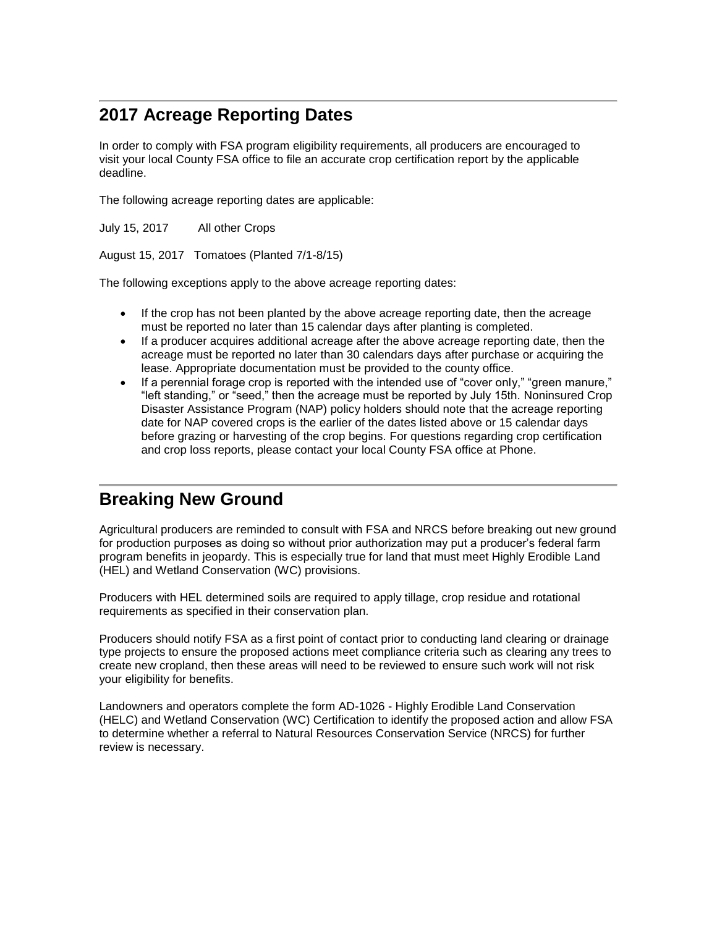### <span id="page-3-0"></span>**2017 Acreage Reporting Dates**

In order to comply with FSA program eligibility requirements, all producers are encouraged to visit your local County FSA office to file an accurate crop certification report by the applicable deadline.

The following acreage reporting dates are applicable:

July 15, 2017 All other Crops

August 15, 2017 Tomatoes (Planted 7/1-8/15)

The following exceptions apply to the above acreage reporting dates:

- If the crop has not been planted by the above acreage reporting date, then the acreage must be reported no later than 15 calendar days after planting is completed.
- If a producer acquires additional acreage after the above acreage reporting date, then the acreage must be reported no later than 30 calendars days after purchase or acquiring the lease. Appropriate documentation must be provided to the county office.
- If a perennial forage crop is reported with the intended use of "cover only," "green manure," "left standing," or "seed," then the acreage must be reported by July 15th. Noninsured Crop Disaster Assistance Program (NAP) policy holders should note that the acreage reporting date for NAP covered crops is the earlier of the dates listed above or 15 calendar days before grazing or harvesting of the crop begins. For questions regarding crop certification and crop loss reports, please contact your local County FSA office at Phone.

### <span id="page-3-1"></span>**Breaking New Ground**

Agricultural producers are reminded to consult with FSA and NRCS before breaking out new ground for production purposes as doing so without prior authorization may put a producer's federal farm program benefits in jeopardy. This is especially true for land that must meet Highly Erodible Land (HEL) and Wetland Conservation (WC) provisions.

Producers with HEL determined soils are required to apply tillage, crop residue and rotational requirements as specified in their conservation plan.

Producers should notify FSA as a first point of contact prior to conducting land clearing or drainage type projects to ensure the proposed actions meet compliance criteria such as clearing any trees to create new cropland, then these areas will need to be reviewed to ensure such work will not risk your eligibility for benefits.

Landowners and operators complete the form AD-1026 - Highly Erodible Land Conservation (HELC) and Wetland Conservation (WC) Certification to identify the proposed action and allow FSA to determine whether a referral to Natural Resources Conservation Service (NRCS) for further review is necessary.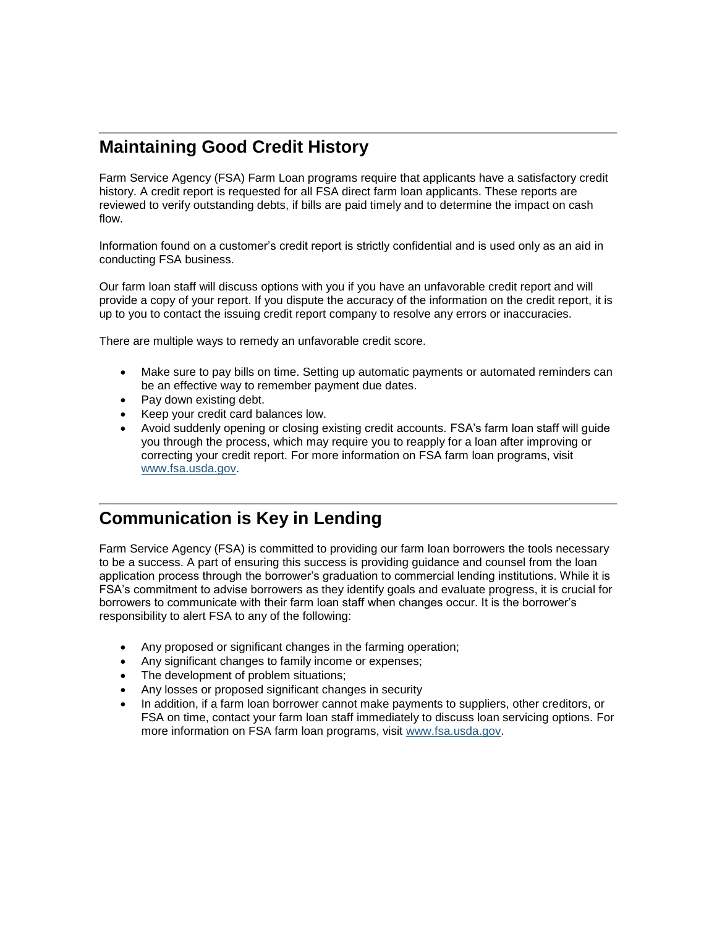### <span id="page-4-0"></span>**Maintaining Good Credit History**

Farm Service Agency (FSA) Farm Loan programs require that applicants have a satisfactory credit history. A credit report is requested for all FSA direct farm loan applicants. These reports are reviewed to verify outstanding debts, if bills are paid timely and to determine the impact on cash flow.

Information found on a customer's credit report is strictly confidential and is used only as an aid in conducting FSA business.

Our farm loan staff will discuss options with you if you have an unfavorable credit report and will provide a copy of your report. If you dispute the accuracy of the information on the credit report, it is up to you to contact the issuing credit report company to resolve any errors or inaccuracies.

There are multiple ways to remedy an unfavorable credit score.

- Make sure to pay bills on time. Setting up automatic payments or automated reminders can be an effective way to remember payment due dates.
- Pay down existing debt.
- Keep your credit card balances low.
- Avoid suddenly opening or closing existing credit accounts. FSA's farm loan staff will guide you through the process, which may require you to reapply for a loan after improving or correcting your credit report. For more information on FSA farm loan programs, visit [www.fsa.usda.gov.](http://www.fsa.usda.gov/)

### <span id="page-4-1"></span>**Communication is Key in Lending**

Farm Service Agency (FSA) is committed to providing our farm loan borrowers the tools necessary to be a success. A part of ensuring this success is providing guidance and counsel from the loan application process through the borrower's graduation to commercial lending institutions. While it is FSA's commitment to advise borrowers as they identify goals and evaluate progress, it is crucial for borrowers to communicate with their farm loan staff when changes occur. It is the borrower's responsibility to alert FSA to any of the following:

- Any proposed or significant changes in the farming operation;
- Any significant changes to family income or expenses;
- The development of problem situations;
- Any losses or proposed significant changes in security
- In addition, if a farm loan borrower cannot make payments to suppliers, other creditors, or FSA on time, contact your farm loan staff immediately to discuss loan servicing options. For more information on FSA farm loan programs, visit [www.fsa.usda.gov.](http://www.fsa.usda.gov/)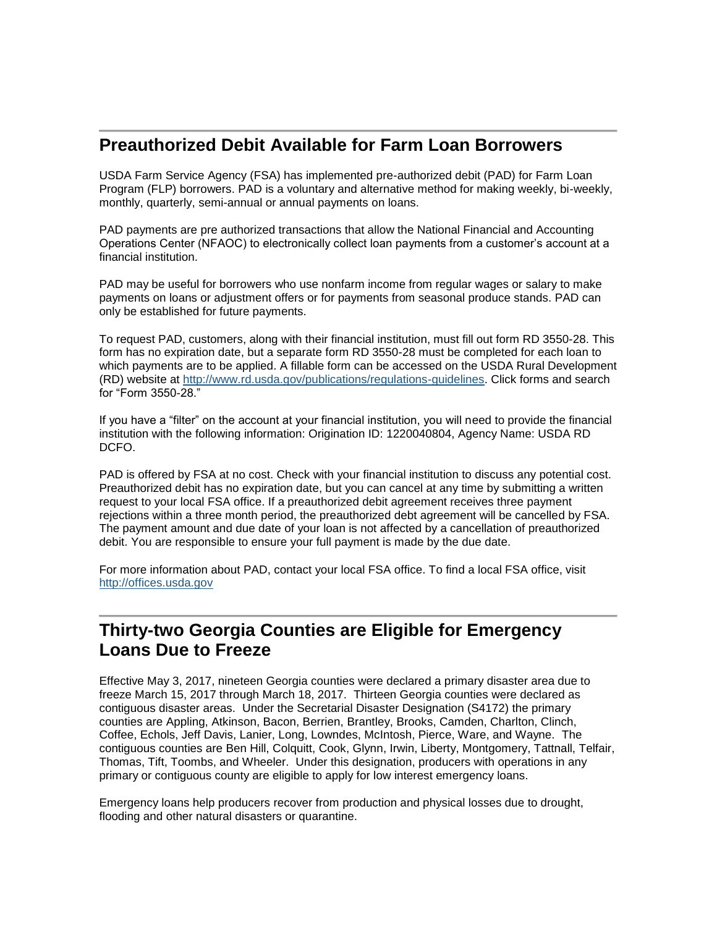### <span id="page-5-0"></span>**Preauthorized Debit Available for Farm Loan Borrowers**

USDA Farm Service Agency (FSA) has implemented pre-authorized debit (PAD) for Farm Loan Program (FLP) borrowers. PAD is a voluntary and alternative method for making weekly, bi-weekly, monthly, quarterly, semi-annual or annual payments on loans.

PAD payments are pre authorized transactions that allow the National Financial and Accounting Operations Center (NFAOC) to electronically collect loan payments from a customer's account at a financial institution.

PAD may be useful for borrowers who use nonfarm income from regular wages or salary to make payments on loans or adjustment offers or for payments from seasonal produce stands. PAD can only be established for future payments.

To request PAD, customers, along with their financial institution, must fill out form RD 3550-28. This form has no expiration date, but a separate form RD 3550-28 must be completed for each loan to which payments are to be applied. A fillable form can be accessed on the USDA Rural Development (RD) website at [http://www.rd.usda.gov/publications/regulations-guidelines.](http://www.rd.usda.gov/publications/regulations-guidelines) Click forms and search for "Form 3550-28."

If you have a "filter" on the account at your financial institution, you will need to provide the financial institution with the following information: Origination ID: 1220040804, Agency Name: USDA RD DCFO.

PAD is offered by FSA at no cost. Check with your financial institution to discuss any potential cost. Preauthorized debit has no expiration date, but you can cancel at any time by submitting a written request to your local FSA office. If a preauthorized debit agreement receives three payment rejections within a three month period, the preauthorized debt agreement will be cancelled by FSA. The payment amount and due date of your loan is not affected by a cancellation of preauthorized debit. You are responsible to ensure your full payment is made by the due date.

For more information about PAD, contact your local FSA office. To find a local FSA office, visit [http://offices.usda.gov](http://offices.sc.egov.usda.gov/locator/app)

### <span id="page-5-1"></span>**Thirty-two Georgia Counties are Eligible for Emergency Loans Due to Freeze**

Effective May 3, 2017, nineteen Georgia counties were declared a primary disaster area due to freeze March 15, 2017 through March 18, 2017. Thirteen Georgia counties were declared as contiguous disaster areas. Under the Secretarial Disaster Designation (S4172) the primary counties are Appling, Atkinson, Bacon, Berrien, Brantley, Brooks, Camden, Charlton, Clinch, Coffee, Echols, Jeff Davis, Lanier, Long, Lowndes, McIntosh, Pierce, Ware, and Wayne. The contiguous counties are Ben Hill, Colquitt, Cook, Glynn, Irwin, Liberty, Montgomery, Tattnall, Telfair, Thomas, Tift, Toombs, and Wheeler. Under this designation, producers with operations in any primary or contiguous county are eligible to apply for low interest emergency loans.

Emergency loans help producers recover from production and physical losses due to drought, flooding and other natural disasters or quarantine.